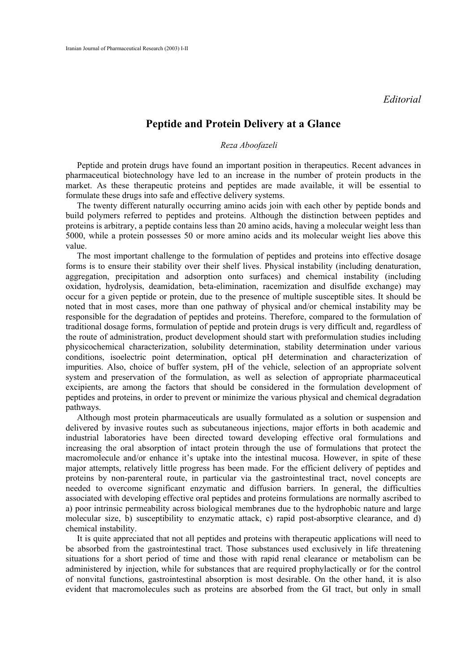*Editorial* 

## **Peptide and Protein Delivery at a Glance**

## *Reza Aboofazeli*

Peptide and protein drugs have found an important position in therapeutics. Recent advances in pharmaceutical biotechnology have led to an increase in the number of protein products in the market. As these therapeutic proteins and peptides are made available, it will be essential to formulate these drugs into safe and effective delivery systems.

The twenty different naturally occurring amino acids join with each other by peptide bonds and build polymers referred to peptides and proteins. Although the distinction between peptides and proteins is arbitrary, a peptide contains less than 20 amino acids, having a molecular weight less than 5000, while a protein possesses 50 or more amino acids and its molecular weight lies above this value.

The most important challenge to the formulation of peptides and proteins into effective dosage forms is to ensure their stability over their shelf lives. Physical instability (including denaturation, aggregation, precipitation and adsorption onto surfaces) and chemical instability (including oxidation, hydrolysis, deamidation, beta-elimination, racemization and disulfide exchange) may occur for a given peptide or protein, due to the presence of multiple susceptible sites. It should be noted that in most cases, more than one pathway of physical and/or chemical instability may be responsible for the degradation of peptides and proteins. Therefore, compared to the formulation of traditional dosage forms, formulation of peptide and protein drugs is very difficult and, regardless of the route of administration, product development should start with preformulation studies including physicochemical characterization, solubility determination, stability determination under various conditions, isoelectric point determination, optical pH determination and characterization of impurities. Also, choice of buffer system, pH of the vehicle, selection of an appropriate solvent system and preservation of the formulation, as well as selection of appropriate pharmaceutical excipients, are among the factors that should be considered in the formulation development of peptides and proteins, in order to prevent or minimize the various physical and chemical degradation pathways.

Although most protein pharmaceuticals are usually formulated as a solution or suspension and delivered by invasive routes such as subcutaneous injections, major efforts in both academic and industrial laboratories have been directed toward developing effective oral formulations and increasing the oral absorption of intact protein through the use of formulations that protect the macromolecule and/or enhance it's uptake into the intestinal mucosa. However, in spite of these major attempts, relatively little progress has been made. For the efficient delivery of peptides and proteins by non-parenteral route, in particular via the gastrointestinal tract, novel concepts are needed to overcome significant enzymatic and diffusion barriers. In general, the difficulties associated with developing effective oral peptides and proteins formulations are normally ascribed to a) poor intrinsic permeability across biological membranes due to the hydrophobic nature and large molecular size, b) susceptibility to enzymatic attack, c) rapid post-absorptive clearance, and d) chemical instability.

It is quite appreciated that not all peptides and proteins with therapeutic applications will need to be absorbed from the gastrointestinal tract. Those substances used exclusively in life threatening situations for a short period of time and those with rapid renal clearance or metabolism can be administered by injection, while for substances that are required prophylactically or for the control of nonvital functions, gastrointestinal absorption is most desirable. On the other hand, it is also evident that macromolecules such as proteins are absorbed from the GI tract, but only in small